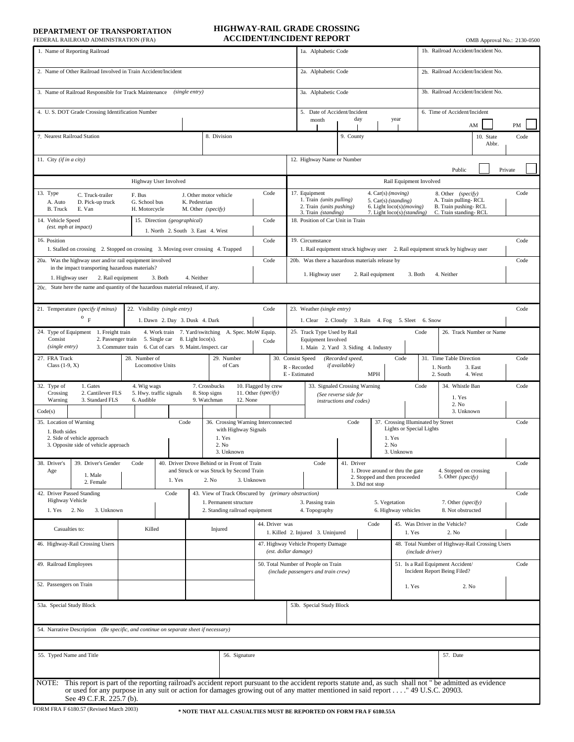**DEPARTMENT OF TRANSPORTATION**

## **ACCIDENT/INCIDENT REPORT HIGHWAY-RAIL GRADE CROSSING**

| FEDERAL RAILROAD ADMINISTRATION (FRA)                                                                                                                                                                                                                                                                                            |                                                          |                                                                           |                           |                                                               |                          |                                            |                                                                            | ACCIDENT/INCIDENT REPORT                                                                                                                                                                                                                                                                               |                                            |            |               |                                                                           |                                                                     |                                    |                                              |                 |         | OMB Approval No.: 2130-0500 |  |
|----------------------------------------------------------------------------------------------------------------------------------------------------------------------------------------------------------------------------------------------------------------------------------------------------------------------------------|----------------------------------------------------------|---------------------------------------------------------------------------|---------------------------|---------------------------------------------------------------|--------------------------|--------------------------------------------|----------------------------------------------------------------------------|--------------------------------------------------------------------------------------------------------------------------------------------------------------------------------------------------------------------------------------------------------------------------------------------------------|--------------------------------------------|------------|---------------|---------------------------------------------------------------------------|---------------------------------------------------------------------|------------------------------------|----------------------------------------------|-----------------|---------|-----------------------------|--|
| 1. Name of Reporting Railroad                                                                                                                                                                                                                                                                                                    |                                                          |                                                                           |                           |                                                               |                          |                                            |                                                                            | 1a. Alphabetic Code                                                                                                                                                                                                                                                                                    |                                            |            |               |                                                                           |                                                                     | 1b. Railroad Accident/Incident No. |                                              |                 |         |                             |  |
| 2. Name of Other Railroad Involved in Train Accident/Incident                                                                                                                                                                                                                                                                    |                                                          |                                                                           |                           |                                                               |                          |                                            |                                                                            | 2a. Alphabetic Code                                                                                                                                                                                                                                                                                    |                                            |            |               |                                                                           |                                                                     | 2b. Railroad Accident/Incident No. |                                              |                 |         |                             |  |
| (single entry)<br>3. Name of Railroad Responsible for Track Maintenance                                                                                                                                                                                                                                                          |                                                          |                                                                           |                           |                                                               |                          |                                            |                                                                            | 3a. Alphabetic Code                                                                                                                                                                                                                                                                                    |                                            |            |               |                                                                           |                                                                     | 3b. Railroad Accident/Incident No. |                                              |                 |         |                             |  |
| 4. U.S. DOT Grade Crossing Identification Number                                                                                                                                                                                                                                                                                 |                                                          |                                                                           |                           |                                                               |                          |                                            |                                                                            | 5. Date of Accident/Incident<br>day<br>year<br>month                                                                                                                                                                                                                                                   |                                            |            |               |                                                                           |                                                                     | 6. Time of Accident/Incident       |                                              |                 |         |                             |  |
| 7. Nearest Railroad Station                                                                                                                                                                                                                                                                                                      |                                                          |                                                                           |                           | 8. Division                                                   |                          |                                            |                                                                            |                                                                                                                                                                                                                                                                                                        | 9. County                                  |            |               |                                                                           |                                                                     |                                    |                                              | AM<br>10. State |         | PM<br>Code                  |  |
|                                                                                                                                                                                                                                                                                                                                  |                                                          |                                                                           |                           |                                                               |                          |                                            |                                                                            |                                                                                                                                                                                                                                                                                                        |                                            |            |               |                                                                           | Abbr.                                                               |                                    |                                              |                 |         |                             |  |
| 11. City (if in a city)                                                                                                                                                                                                                                                                                                          |                                                          |                                                                           |                           |                                                               |                          |                                            | 12. Highway Name or Number                                                 |                                                                                                                                                                                                                                                                                                        |                                            |            |               |                                                                           |                                                                     |                                    | Public                                       |                 | Private |                             |  |
| Highway User Involved                                                                                                                                                                                                                                                                                                            |                                                          |                                                                           |                           |                                                               |                          |                                            |                                                                            | Rail Equipment Involved                                                                                                                                                                                                                                                                                |                                            |            |               |                                                                           |                                                                     |                                    |                                              |                 |         |                             |  |
| 13. Type<br>C. Truck-trailer<br>F. Bus<br>A. Auto<br>D. Pick-up truck<br>G. School bus<br><b>B.</b> Truck<br>E. Van<br>H. Motorcycle                                                                                                                                                                                             |                                                          |                                                                           |                           | J. Other motor vehicle<br>K. Pedestrian<br>M. Other (specify) |                          | Code                                       |                                                                            | 17. Equipment<br>8. Other (specify)<br>4. Car(s) (moving)<br>1. Train (units pulling)<br>A. Train pulling-RCL<br>5. Car(s) (standing)<br>2. Train (units pushing)<br>B. Train pushing-RCL<br>6. Light $loco(s)(moving)$<br>7. Light loco(s) (standing)<br>C. Train standing-RCL<br>3. Train (standing) |                                            |            |               |                                                                           |                                                                     |                                    |                                              |                 |         |                             |  |
| 14. Vehicle Speed<br>(est. mph at impact)                                                                                                                                                                                                                                                                                        | 15. Direction (geographical)                             | Code<br>1. North 2. South 3. East 4. West                                 |                           |                                                               |                          | 18. Position of Car Unit in Train          |                                                                            |                                                                                                                                                                                                                                                                                                        |                                            |            |               |                                                                           |                                                                     |                                    |                                              |                 |         |                             |  |
| 16. Position<br>Code<br>1. Stalled on crossing 2. Stopped on crossing 3. Moving over crossing 4. Trapped                                                                                                                                                                                                                         |                                                          |                                                                           |                           |                                                               |                          |                                            |                                                                            | 19. Circumstance<br>Code<br>1. Rail equipment struck highway user 2. Rail equipment struck by highway user                                                                                                                                                                                             |                                            |            |               |                                                                           |                                                                     |                                    |                                              |                 |         |                             |  |
| 20a. Was the highway user and/or rail equipment involved<br>Code<br>in the impact transporting hazardous materials?                                                                                                                                                                                                              |                                                          |                                                                           |                           |                                                               |                          |                                            |                                                                            | 20b. Was there a hazardous materials release by<br>Code                                                                                                                                                                                                                                                |                                            |            |               |                                                                           |                                                                     |                                    |                                              |                 |         |                             |  |
| 3. Both<br>4. Neither<br>1. Highway user<br>2. Rail equipment<br>20c. State here the name and quantity of the hazardous material released, if any.                                                                                                                                                                               |                                                          |                                                                           |                           |                                                               |                          |                                            |                                                                            | 1. Highway user<br>2. Rail equipment<br>3. Both<br>4. Neither                                                                                                                                                                                                                                          |                                            |            |               |                                                                           |                                                                     |                                    |                                              |                 |         |                             |  |
|                                                                                                                                                                                                                                                                                                                                  |                                                          |                                                                           |                           |                                                               |                          |                                            |                                                                            |                                                                                                                                                                                                                                                                                                        |                                            |            |               |                                                                           |                                                                     |                                    |                                              |                 |         |                             |  |
| 21. Temperature (specify if minus)<br>22. Visibility (single entry)<br>Code<br>$^{\rm o}$ $_{\rm F}$<br>1. Dawn 2. Day 3. Dusk 4. Dark                                                                                                                                                                                           |                                                          |                                                                           |                           |                                                               |                          |                                            |                                                                            | 23. Weather (single entry)<br>Code<br>1. Clear 2. Cloudy 3. Rain 4. Fog 5. Sleet 6. Snow                                                                                                                                                                                                               |                                            |            |               |                                                                           |                                                                     |                                    |                                              |                 |         |                             |  |
| 24. Type of Equipment 1. Freight train<br>4. Work train 7. Yard/switching A. Spec. MoW Equip.<br>Consist<br>2. Passenger train<br>5. Single car<br>8. Light loco(s).<br>Code                                                                                                                                                     |                                                          |                                                                           |                           |                                                               |                          |                                            |                                                                            | 25. Track Type Used by Rail<br>Code<br>26. Track Number or Name<br>Equipment Involved                                                                                                                                                                                                                  |                                            |            |               |                                                                           |                                                                     |                                    |                                              |                 |         |                             |  |
| 3. Commuter train 6. Cut of cars 9. Maint./inspect. car<br>(single entry)<br>27. FRA Track<br>28. Number of<br>29. Number                                                                                                                                                                                                        |                                                          |                                                                           |                           |                                                               |                          |                                            |                                                                            | 1. Main 2. Yard 3. Siding 4. Industry<br>30. Consist Speed<br>Code<br>(Recorded speed,                                                                                                                                                                                                                 |                                            |            |               |                                                                           |                                                                     |                                    | 31. Time Table Direction                     |                 |         | Code                        |  |
| Class $(1-9, X)$<br><b>Locomotive Units</b><br>of Cars                                                                                                                                                                                                                                                                           |                                                          |                                                                           |                           |                                                               |                          |                                            |                                                                            | if available)<br>R - Recorded<br>1. North<br>3. East<br>E - Estimated<br><b>MPH</b><br>2. South<br>4. West                                                                                                                                                                                             |                                            |            |               |                                                                           |                                                                     |                                    |                                              |                 |         |                             |  |
| 32. Type of<br>7. Crossbucks<br>1. Gates<br>4. Wig wags<br>5. Hwy. traffic signals<br>8. Stop signs<br>Crossing<br>2. Cantilever FLS<br>9. Watchman<br>Warning<br>3. Standard FLS<br>6. Audible<br>12. None                                                                                                                      |                                                          |                                                                           |                           |                                                               |                          | 10. Flagged by crew<br>11. Other (specify) |                                                                            | 33. Signaled Crossing Warning<br>(See reverse side for<br>instructions and codes)                                                                                                                                                                                                                      |                                            |            |               |                                                                           | 34. Whistle Ban<br>Code<br>1. Yes<br>2. No                          |                                    |                                              |                 |         | Code                        |  |
| Code(s)                                                                                                                                                                                                                                                                                                                          |                                                          | 36. Crossing Warning Interconnected                                       |                           |                                                               |                          |                                            |                                                                            |                                                                                                                                                                                                                                                                                                        | Code<br>37. Crossing Illuminated by Street |            |               |                                                                           |                                                                     |                                    | 3. Unknown                                   |                 |         |                             |  |
| 35. Location of Warning<br>Code<br>1. Both sides                                                                                                                                                                                                                                                                                 |                                                          |                                                                           |                           |                                                               | with Highway Signals     |                                            |                                                                            |                                                                                                                                                                                                                                                                                                        |                                            |            |               | <b>Lights or Special Lights</b>                                           |                                                                     |                                    |                                              |                 |         | Code                        |  |
| 2. Side of vehicle approach<br>3. Opposite side of vehicle approach                                                                                                                                                                                                                                                              |                                                          |                                                                           |                           | 1. Yes<br>2. No<br>3. Unknown                                 |                          |                                            |                                                                            |                                                                                                                                                                                                                                                                                                        | 1. Yes<br>2. No                            | 3. Unknown |               |                                                                           |                                                                     |                                    |                                              |                 |         |                             |  |
| 38. Driver's<br>39. Driver's Gender                                                                                                                                                                                                                                                                                              | Code                                                     |                                                                           |                           | 40. Driver Drove Behind or in Front of Train                  |                          |                                            |                                                                            | 41. Driver<br>Code                                                                                                                                                                                                                                                                                     |                                            |            |               |                                                                           |                                                                     |                                    |                                              |                 |         | Code                        |  |
| Age<br>1. Male<br>2. Female                                                                                                                                                                                                                                                                                                      |                                                          | and Struck or was Struck by Second Train<br>1. Yes<br>2. No<br>3. Unknown |                           |                                                               |                          |                                            |                                                                            | 1. Drove around or thru the gate<br>2. Stopped and then proceeded<br>3. Did not stop                                                                                                                                                                                                                   |                                            |            |               |                                                                           |                                                                     |                                    | 4. Stopped on crossing<br>5. Other (specify) |                 |         |                             |  |
| 42. Driver Passed Standing<br>Code<br>43. View of Track Obscured by (primary obstruction)<br><b>Highway Vehicle</b>                                                                                                                                                                                                              |                                                          |                                                                           |                           |                                                               |                          |                                            |                                                                            | 3. Passing train                                                                                                                                                                                                                                                                                       |                                            |            | 5. Vegetation |                                                                           |                                                                     |                                    |                                              |                 |         | Code                        |  |
| 1. Yes 2. No<br>3. Unknown                                                                                                                                                                                                                                                                                                       | 1. Permanent structure<br>2. Standing railroad equipment |                                                                           |                           |                                                               |                          | 4. Topography                              |                                                                            | 7. Other (specify)<br>6. Highway vehicles<br>8. Not obstructed                                                                                                                                                                                                                                         |                                            |            |               |                                                                           |                                                                     |                                    |                                              |                 |         |                             |  |
| Casualties to:<br>Killed                                                                                                                                                                                                                                                                                                         |                                                          |                                                                           | 44. Driver was<br>Injured |                                                               |                          |                                            |                                                                            | Code<br>1. Killed 2. Injured 3. Uninjured                                                                                                                                                                                                                                                              |                                            |            |               | 45. Was Driver in the Vehicle?<br>1. Yes<br>2. No                         |                                                                     |                                    |                                              |                 |         | Code                        |  |
| 46. Highway-Rail Crossing Users                                                                                                                                                                                                                                                                                                  |                                                          |                                                                           |                           |                                                               |                          |                                            |                                                                            | 47. Highway Vehicle Property Damage<br>(est. dollar damage)                                                                                                                                                                                                                                            |                                            |            |               |                                                                           | 48. Total Number of Highway-Rail Crossing Users<br>(include driver) |                                    |                                              |                 |         |                             |  |
| 49. Railroad Employees                                                                                                                                                                                                                                                                                                           |                                                          |                                                                           |                           |                                                               |                          |                                            | 50. Total Number of People on Train<br>(include passengers and train crew) |                                                                                                                                                                                                                                                                                                        |                                            |            |               | 51. Is a Rail Equipment Accident/<br>Code<br>Incident Report Being Filed? |                                                                     |                                    |                                              |                 |         |                             |  |
| 52. Passengers on Train                                                                                                                                                                                                                                                                                                          |                                                          |                                                                           |                           |                                                               |                          |                                            |                                                                            |                                                                                                                                                                                                                                                                                                        |                                            |            |               | 1. Yes<br>2. No                                                           |                                                                     |                                    |                                              |                 |         |                             |  |
| 53a. Special Study Block                                                                                                                                                                                                                                                                                                         |                                                          |                                                                           |                           |                                                               | 53b. Special Study Block |                                            |                                                                            |                                                                                                                                                                                                                                                                                                        |                                            |            |               |                                                                           |                                                                     |                                    |                                              |                 |         |                             |  |
| 54. Narrative Description (Be specific, and continue on separate sheet if necessary)                                                                                                                                                                                                                                             |                                                          |                                                                           |                           |                                                               |                          |                                            |                                                                            |                                                                                                                                                                                                                                                                                                        |                                            |            |               |                                                                           |                                                                     |                                    |                                              |                 |         |                             |  |
|                                                                                                                                                                                                                                                                                                                                  |                                                          |                                                                           |                           |                                                               |                          |                                            |                                                                            |                                                                                                                                                                                                                                                                                                        |                                            |            |               |                                                                           |                                                                     |                                    |                                              |                 |         |                             |  |
| 55. Typed Name and Title                                                                                                                                                                                                                                                                                                         |                                                          |                                                                           |                           |                                                               | 56. Signature            |                                            |                                                                            |                                                                                                                                                                                                                                                                                                        |                                            |            |               |                                                                           |                                                                     | 57. Date                           |                                              |                 |         |                             |  |
| This report is part of the reporting railroad's accident report pursuant to the accident reports statute and, as such shall not " be admitted as evidence<br>NOTE:<br>or used for any purpose in any suit or action for damages growing out of any matter mentioned in said report "49 U.S.C. 20903.<br>See 49 C.F.R. 225.7 (b). |                                                          |                                                                           |                           |                                                               |                          |                                            |                                                                            |                                                                                                                                                                                                                                                                                                        |                                            |            |               |                                                                           |                                                                     |                                    |                                              |                 |         |                             |  |
|                                                                                                                                                                                                                                                                                                                                  |                                                          |                                                                           |                           |                                                               |                          |                                            |                                                                            |                                                                                                                                                                                                                                                                                                        |                                            |            |               |                                                                           |                                                                     |                                    |                                              |                 |         |                             |  |